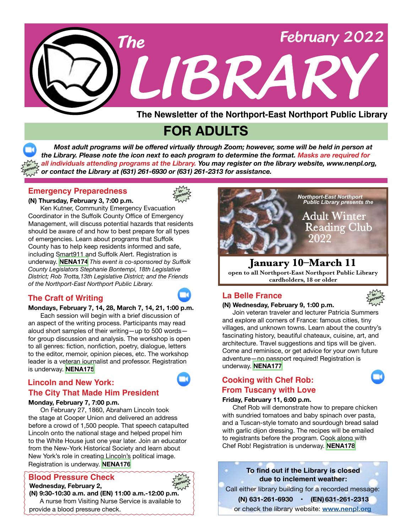

**The Newsletter of the Northport-East Northport Public Library**

# **FOR ADULTS**

 *Most adult programs will be offered virtually through Zoom; however, some will be held in person at the Library. Please note the icon next to each program to determine the format. Masks are required for all individuals attending programs at the Library. You may register on the library website, www.nenpl.org, or contact the Library at (631) 261-6930 or (631) 261-2313 for assistance.* **person**

## **Emergency Preparedness**

**in-**



**(N) Thursday, February 3, 7:00 p.m.** Ken Kutner, Community Emergency Evacuation Coordinator in the Suffolk County Office of Emergency Management, will discuss potential hazards that residents should be aware of and how to best prepare for all types of emergencies. Learn about programs that Suffolk County has to help keep residents informed and safe, including Smart911 and Suffolk Alert. Registration is underway. **[NENA174](https://www.nenpl.org/events/emergency-preparedness-person)** *This event is co-sponsored by Suffolk County Legislators Stephanie Bontempi, 18th Legislative* 

*District; Rob Trotta,13th Legislative District; and the Friends of the Northport-East Northport Public Library.*

# **The Craft of Writing La Belle France**



**person**

## **Mondays, February 7, 14, 28, March 7, 14, 21, 1:00 p.m.** Each session will begin with a brief discussion of an aspect of the writing process. Participants may read

aloud short samples of their writing—up to 500 words for group discussion and analysis. The workshop is open to all genres: fiction, nonfiction, poetry, dialogue, letters to the editor, memoir, opinion pieces, etc. The workshop leader is a veteran journalist and professor. Registration is underway. **[NENA175](https://www.nenpl.org/events/craft-writing-zoom-4)**

# **Lincoln and New York: The City That Made Him President**

#### **Monday, February 7, 7:00 p.m.**

 On February 27, 1860, Abraham Lincoln took the stage at Cooper Union and delivered an address before a crowd of 1,500 people. That speech catapulted Lincoln onto the national stage and helped propel him to the White House just one year later. Join an educator from the New-York Historical Society and learn about New York's role in creating Lincoln's political image. Registration is underway. **[NENA176](https://www.nenpl.org/events/lincoln-and-new-york-city-made-him-president-zoom)**

# **Blood Pressure Check in-**

 **Wednesday, February 2,**



#### **(N) 9:30-10:30 a.m. and (EN) 11:00 a.m.-12:00 p.m.**  A nurse from Visiting Nurse Service is available to provide a blood pressure check.



**open to all Northport-East Northport Public Library cardholders, 18 or older**



#### **(N) Wednesday, February 9, 1:00 p.m.**

 Join veteran traveler and lecturer Patricia Summers and explore all corners of France: famous cities, tiny villages, and unknown towns. Learn about the country's fascinating history, beautiful chateaux, cuisine, art, and architecture. Travel suggestions and tips will be given. Come and reminisce, or get advice for your own future adventure—no passport required! Registration is underway. **[NENA177](https://www.nenpl.org/events/la-belle-france-person)**

# **Cooking with Chef Rob: From Tuscany with Love**

# **Friday, February 11, 6:00 p.m.**

 Chef Rob will demonstrate how to prepare chicken with sundried tomatoes and baby spinach over pasta, and a Tuscan-style tomato and sourdough bread salad with garlic dijon dressing. The recipes will be emailed to registrants before the program. Cook along with Chef Rob! Registration is underway. **[NENA178](https://www.nenpl.org/events/cooking-chef-rob-tuscany-love-zoom)**

**To find out if the Library is closed due to inclement weather:** or check the library website: **[www.nenpl.org](http://www.nenpl.org)** Call either library building for a recorded message:  **(N) 631-261-6930 • (EN) 631-261-2313**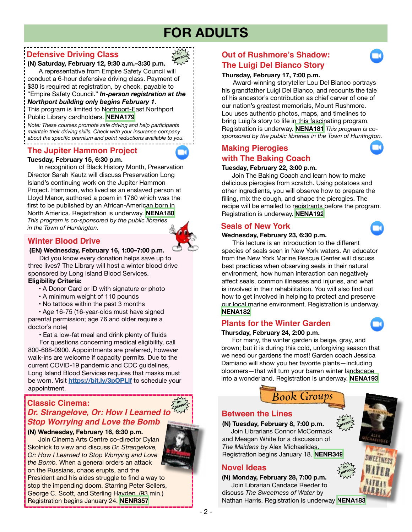# **FOR ADULTS**

**in-**

# **Defensive Driving Class**

#### **The Luigi Del Bianco Story (N) Saturday, February 12, 9:30 a.m.–3:30 p.m.** A representative from Empire Safety Council will conduct a 6-hour defensive driving class. Payment of \$30 is required at registration, by check, payable to **person**

"Empire Safety Council." *In-person registration at the* 

# *Northport building onl***y** *begins February 1*.

This program is limited to Northport-East Northport Public Library cardholders. **[NENA179](https://www.nenpl.org/events/defensive-driving-class-person-0)**

*Note: These courses promote safe driving and help participants maintain their driving skills. Check with your insurance company about the specific premium and point reductions available to you.*

# **The Jupiter Hammon Project**

#### **Tuesday, February 15, 6:30 p.m.**

 In recognition of Black History Month, Preservation Director Sarah Kautz will discuss Preservation Long Island's continuing work on the Jupiter Hammon Project. Hammon, who lived as an enslaved person at Lloyd Manor, authored a poem in 1760 which was the first to be published by an African-American born in North America. Registration is underway. **[NENA180](https://www.nenpl.org/events/jupiter-hammon-project-zoom)** *This program is co-sponsored by the public libraries in the Town of Huntington.*

# **Winter Blood Drive**

#### **(EN) Wednesday, February 16, 1:00–7:00 p.m.**

 Did you know every donation helps save up to three lives? The Library will host a winter blood drive sponsored by Long Island Blood Services. **Eligibility Criteria:**

#### • A Donor Card or ID with signature or photo

- A minimum weight of 110 pounds
- No tattoos within the past 3 months

 • Age 16-75 (16-year-olds must have signed parental permission; age 76 and older require a doctor's note)

• Eat a low-fat meal and drink plenty of fluids

 For questions concerning medical eligibility, call 800-688-0900. Appointments are preferred, however walk-ins are welcome if capacity permits. Due to the current COVID-19 pandemic and CDC guidelines, Long Island Blood Services requires that masks must be worn. Visit **<https://bit.ly/3pOPLlf>** to schedule your appointment.

#### **Classic Cinema:** *Dr. Strangelove, Or: How I Learned to* **inperson** *Stop Worrying and Love the Bomb*

#### **(N) Wednesday, February 16, 6:30 p.m.**

 Join Cinema Arts Centre co-director Dylan Skolnick to view and discuss *Dr. Strangelove, Or: How I Learned to Stop Worrying and Love the Bomb.* When a general orders an attack on the Russians, chaos erupts, and the President and his aides struggle to find a way to stop the impending doom. *S*tarring Peter Sellers, George C. Scott, and Sterling Hayden. (93 min.) Registration begins January 24. **[NENR357](https://www.nenpl.org/events/classic-cinema-dr-strangelove-or-how-i-learned-stop-worrying-and-love-bomb-person)**

# **Out of Rushmore's Shadow:**

#### **Thursday, February 17, 7:00 p.m.**

 Award-winning storyteller Lou Del Bianco portrays his grandfather Luigi Del Bianco, and recounts the tale of his ancestor's contribution as chief carver of one of our nation's greatest memorials, Mount Rushmore. Lou uses authentic photos, maps, and timelines to bring Luigi's story to life in this fascinating program. Registration is underway. **[NENA181](https://www.nenpl.org/events/out-rushmores-shadow-luigi-del-bianco-story-zoom)** *This program is cosponsored by the public libraries in the Town of Huntington.*

# **Making Pierogies with The Baking Coach**

#### **Tuesday, February 22, 3:00 p.m.**

 Join The Baking Coach and learn how to make delicious pierogies from scratch. Using potatoes and other ingredients, you will observe how to prepare the filling, mix the dough, and shape the pierogies. The recipe will be emailed to registrants before the program. Registration is underway. **[NENA192](https://www.nenpl.org/events/making-pierogies-baking-coach-zoom)**

# **Seals of New York**

#### **Wednesday, February 23, 6:30 p.m.**

 This lecture is an introduction to the different species of seals seen in New York waters. An educator from the New York Marine Rescue Center will discuss best practices when observing seals in their natural environment, how human interaction can negatively affect seals, common illnesses and injuries, and what is involved in their rehabilitation. You will also find out how to get involved in helping to protect and preserve our local marine environment. Registration is underway. **[NENA182](https://www.nenpl.org/events/seals-new-york-zoom)**

# **Plants for the Winter Garden**

#### **Thursday, February 24, 2:00 p.m.**

 For many, the winter garden is beige, gray, and brown; but it is during this cold, unforgiving season that we need our gardens the most! Garden coach Jessica Damiano will show you her favorite plants—including bloomers—that will turn your barren winter landscape into a wonderland. Registration is underway. **[NENA193](https://www.nenpl.org/events/plants-winter-garden-zoom)**

*Book Groups*

# **Between the Lines**

# **(N) Tuesday, February 8, 7:00 p.m.**

 Join Librarians Connor McCormack and Meagan White for a discussion of *The Maidens* by Alex Michaelides. Registration begins January 18. **[NENR349](https://www.nenpl.org/events/between-lines-person)**

# **Novel Ideas**

**(N) Monday, February 28, 7:00 p.m.** Join Librarian Candace Reeder to discuss *The Sweetness of Water* by

Nathan Harris. Registration is underway **[NENA183](https://www.nenpl.org/events/novel-ideas-person-0)**



**in-**





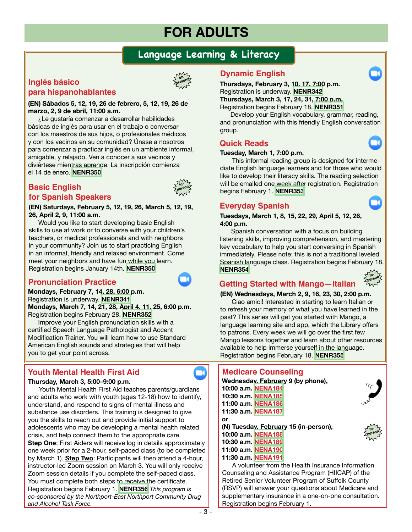# **FOR ADULTS**

# **Language Learning & Literacy**

# **Inglés básico para hispanohablantes**



#### **(EN) Sábados 5, 12, 19, 26 de febrero, 5, 12, 19, 26 de marzo, 2, 9 de abril, 11:00 a.m.**

 ¿Le gustaría comenzar a desarrollar habilidades básicas de inglés para usar en el trabajo o conversar con los maestros de sus hijos, o profesionales médicos y con los vecinos en su comunidad? Únase a nosotros para comenzar a practicar inglés en un ambiente informal, amigable, y relajado. Ven a conocer a sus vecinos y diviértese mientras aprende. La inscripción comienza el 14 de enero. **[NENR350](https://www.nenpl.org/events/ingles-basico-para-hispanohablantes-en-persona-basic-english-spanish-speakers-person-8)**

# **Basic English for Spanish Speakers**



**(EN) Saturdays, February 5, 12, 19, 26, March 5, 12, 19, 26, April 2, 9, 11:00 a.m.**

 Would you like to start developing basic English skills to use at work or to converse with your children's teachers, or medical professionals and with neighbors in your community? Join us to start practicing English in an informal, friendly and relaxed environment. Come meet your neighbors and have fun while you learn. Registration begins January 14th. **[NENR350](https://www.nenpl.org/events/ingles-basico-para-hispanohablantes-en-persona-basic-english-spanish-speakers-person-8)**

# **Pronunciation Practice**

**Mondays, February 7, 14, 28, 6:00 p.m.** Registration is underway. **[NENR341](https://www.nenpl.org/events/pronunciation-practice-zoom-3) Mondays, March 7, 14, 21, 28, April 4, 11, 25, 6:00 p.m.** Registration begins February 28. **[NENR352](https://www.nenpl.org/events/pronunciation-practice-zoom-14)**

Improve your English pronunciation skills with a certified Speech Language Pathologist and Accent Modification Trainer. You will learn how to use Standard American English sounds and strategies that will help you to get your point across.

# **Youth Mental Health First Aid Medicare Counseling**

#### **Thursday, March 3, 5:00–9:00 p.m.**

 Youth Mental Health First Aid teaches parents/guardians and adults who work with youth (ages 12-18) how to identify, understand, and respond to signs of mental illness and substance use disorders. This training is designed to give you the skills to reach out and provide initial support to adolescents who may be developing a mental health related crisis, and help connect them to the appropriate care. **Step One**: First Aiders will receive log in details approximately one week prior for a 2-hour, self-paced class (to be completed by March 1). **Step Two**: Participants will then attend a 4-hour, instructor-led Zoom session on March 3. You will only receive Zoom session details if you complete the self-paced class. You must complete both steps to receive the certificate. Registration begins February 1. **[NENR356](https://www.nenpl.org/events/youth-mental-health-first-aid-zoom)** *This program is co-sponsored by the Northport-East Northport Community Drug and Alcohol Task Force.*

# **Dynamic English**

**Thursdays, February 3, 10, 17, 7:00 p.m.**  Registration is underway. **[NENR342](https://www.nenpl.org/events/dynamic-english-zoom-5)**

**Thursdays, March 3, 17, 24, 31, 7:00 p.m.** Registration begins February 18. **[NENR351](https://www.nenpl.org/events/dynamic-english-zoom-9)**

 Develop your English vocabulary, grammar, reading, and pronunciation with this friendly English conversation group.

# **Quick Reads**

#### **Tuesday, March 1, 7:00 p.m.**

This informal reading group is designed for intermediate English language learners and for those who would like to develop their literacy skills. The reading selection will be emailed one week after registration. Registration begins February 1. **[NENR353](https://www.nenpl.org/events/quick-reads-zoom-0)**

# **Everyday Spanish**

**Tuesdays, March 1, 8, 15, 22, 29, April 5, 12, 26, 4:00 p.m.**

Spanish conversation with a focus on building listening skills, improving comprehension, and mastering key vocabulary to help you start conversing in Spanish immediately. Please note: this is not a traditional leveled Spanish language class. Registration begins February 18. **[NENR354](https://www.nenpl.org/events/everyday-spanish-zoom-16)**



# **Getting Started with Mango—Italian**

#### **(EN) Wednesdays, March 2, 9, 16, 23, 30, 2:00 p.m.**

Ciao amici! Interested in starting to learn Italian or to refresh your memory of what you have learned in the past? This series will get you started with Mango, a language learning site and app, which the Library offers to patrons. Every week we will go over the first few Mango lessons together and learn about other resources available to help immerse yourself in the language. Registration begins February 18. **[NENR355](https://www.nenpl.org/events/getting-started-magno-italian-person-3)**

**Wednesday, February 9 (by phone), 10:00 a.m. [NENA184](https://www.nenpl.org/events/medicare-counseling-northport-phone-3) 10:30 a.m. [NENA185](https://www.nenpl.org/events/medicare-counseling-northport-phone-4) 11:00 a.m. [NENA186](https://www.nenpl.org/events/medicare-counseling-northport-phone-5) 11:30 a.m. [NENA187](https://www.nenpl.org/events/medicare-counseling-phone-3) or (N) Tuesday, February 15 (in-person), 10:00 a.m. [NENA188](https://www.nenpl.org/events/medicare-counseling-person) 10:30 a.m. [NENA189](https://www.nenpl.org/events/medicare-counseling-person-0) 11:00 a.m. [NENA190](https://www.nenpl.org/events/medicare-counseling-person-1) 11:30 a.m. [NENA191](https://www.nenpl.org/events/medicare-counseling-person-2)**

A volunteer from the Health Insurance Information Counseling and Assistance Program (HIICAP) of the Retired Senior Volunteer Program of Suffolk County (RSVP) will answer your questions about Medicare and supplementary insurance in a one-on-one consultation. Registration begins February 1.



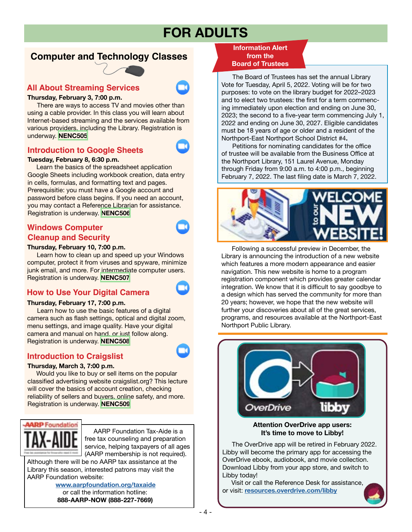# **FOR ADULTS**

# **Computer and Technology Classes**



#### **All About Streaming Services**

#### **Thursday, February 3, 7:00 p.m.**

 There are ways to access TV and movies other than using a cable provider. In this class you will learn about Internet-based streaming and the services available from various providers, including the Library. Registration is underway. **[NENC505](https://www.nenpl.org/events/all-about-streaming-services-zoom)**

# **Introduction to Google Sheets**



#### **Tuesday, February 8, 6:30 p.m.**

 Learn the basics of the spreadsheet application Google Sheets including workbook creation, data entry in cells, formulas, and formatting text and pages. Prerequisitie: you must have a Google account and password before class begins. If you need an account, you may contact a Reference Librarian for assistance. Registration is underway. **[NENC506](https://www.nenpl.org/events/introduction-google-sheets-zoom)**

# **Windows Computer Cleanup and Security**

#### **Thursday, February 10, 7:00 p.m.**

 Learn how to clean up and speed up your Windows computer, protect it from viruses and spyware, minimize junk email, and more. For intermediate computer users. Registration is underway. **[NENC507](https://www.nenpl.org/events/windows-computer-cleanup-and-security-zoom)**

# **How to Use Your Digital Camera**

#### **Thursday, February 17, 7:00 p.m.**

 Learn how to use the basic features of a digital camera such as flash settings, optical and digital zoom, menu settings, and image quality. Have your digital camera and manual on hand, or just follow along. Registration is underway. **[NENC508](https://www.nenpl.org/events/how-use-your-digital-camera-zoom)**

# **Introduction to Craigslist**

#### **Thursday, March 3, 7:00 p.m.**

 Would you like to buy or sell items on the popular classified advertising website craigslist.org? This lecture will cover the basics of account creation, checking reliability of sellers and buyers, online safety, and more. Registration is underway. **[NENC509](https://www.nenpl.org/events/introduction-craigslist-zoom)**



j

 AARP Foundation Tax-Aide is a free tax counseling and preparation service, helping taxpayers of all ages (AARP membership is not required). Although there will be no AARP tax assistance at the

Library this season, interested patrons may visit the AARP Foundation website:

> **[www.aarpfoundation.org/taxaide](http://www.aarpfoundation.org/taxaide)** or call the information hotline:  **888-AARP-NOW (888-227-7669)**

**Information Alert from the Board of Trustees**

The Board of Trustees has set the annual Library Vote for Tuesday, April 5, 2022. Voting will be for two purposes: to vote on the library budget for 2022–2023 and to elect two trustees: the first for a term commencing immediately upon election and ending on June 30, 2023; the second to a five-year term commencing July 1, 2022 and ending on June 30, 2027. Eligible candidates must be 18 years of age or older and a resident of the Northport-East Northport School District #4**.**

 Petitions for nominating candidates for the office of trustee will be available from the Business Office at the Northport Library, 151 Laurel Avenue, Monday through Friday from 9:00 a.m. to 4:00 p.m., beginning February 7, 2022. The last filing date is March 7, 2022.



Following a successful preview in December, the Library is announcing the introduction of a new website which features a more modern appearance and easier navigation. This new website is home to a program registration component which provides greater calendar integration. We know that it is difficult to say goodbye to a design which has served the community for more than 20 years; however, we hope that the new website will further your discoveries about all of the great services, programs, and resources available at the Northport-East Northport Public Library.



**Attention OverDrive app users: It's time to move to Libby!**

 The OverDrive app will be retired in February 2022. Libby will become the primary app for accessing the OverDrive ebook, audiobook, and movie collection. Download Libby from your app store, and switch to Libby today!

 Visit or call the Reference Desk for assistance, or visit: **[resources.overdrive.com/libby](http://resources.overdrive.com/libby)**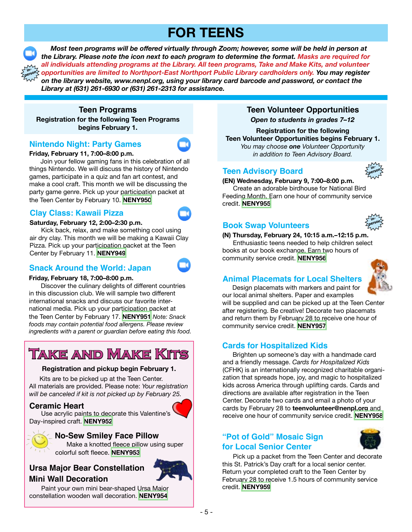# **FOR TEENS**

**inperson**

 *Most teen programs will be offered virtually through Zoom; however, some will be held in person at the Library. Please note the icon next to each program to determine the format. Masks are required for all individuals attending programs at the Library. All teen programs, Take and Make Kits, and volunteer opportunities are limited to Northport-East Northport Public Library cardholders only. You may register on the library website, www.nenpl.org, using your library card barcode and password, or contact the Library at (631) 261-6930 or (631) 261-2313 for assistance.*

**Registration for the following Teen Programs begins February 1. Teen Programs** 

# **Nintendo Night: Party Games**

## **Friday, February 11, 7:00–8:00 p.m.**

Join your fellow gaming fans in this celebration of all things Nintendo. We will discuss the history of Nintendo games, participate in a quiz and fan art contest, and make a cool craft. This month we will be discussing the party game genre. Pick up your participation packet at the Teen Center by February 10. **[NENY950](https://www.nenpl.org/events/nintendo-night-party-games-zoom)**

# **Clay Class: Kawaii Pizza**

#### **Saturday, February 12, 2:00–2:30 p.m.**

 Kick back, relax, and make something cool using air dry clay. This month we will be making a Kawaii Clay Pizza. Pick up your participation packet at the Teen Center by February 11. **[NENY949](https://www.nenpl.org/events/clay-class-kawaii-pizza-zoom)**

# **Snack Around the World: Japan**

#### **Friday, February 18, 7:00–8:00 p.m.**

Discover the culinary delights of different countries in this discussion club. We will sample two different international snacks and discuss our favorite international media. Pick up your participation packet at the Teen Center by February 17. **[NENY951](https://www.nenpl.org/events/snack-around-world-japan-zoom)** *Note: Snack foods may contain potential food allergens. Please review ingredients with a parent or guardian before eating this food.*

# **Take and Make Kits**

#### **Registration and pickup begin February 1.**

 Kits are to be picked up at the Teen Center. All materials are provided. Please note: *Your registration will be canceled if kit is not picked up by February 25.*

## **Ceramic Heart**

 Use acrylic paints to decorate this Valentine's Day-inspired craft. **[NENY952](https://www.nenpl.org/events/ceramic-heart-take-and-make)**

# **No-Sew Smiley Face Pillow**

 Make a knotted fleece pillow using super colorful soft fleece. **[NENY953](https://www.nenpl.org/events/no-sew-smiley-face-pillow-take-and-make)**

# **Ursa Major Bear Constellation Mini Wall Decoration**



 Paint your own mini bear-shaped Ursa Major constellation wooden wall decoration. **[NENY954](https://www.nenpl.org/events/ursa-major-bear-constellation-mini-wall-decoration-take-and-make)**

# **Teen Volunteer Opportunities**

*Open to students in grades 7–12*

**Registration for the following Teen Volunteer Opportunities begins February 1.** *You may choose one Volunteer Opportunity in addition to Teen Advisory Board.*

## **Teen Advisory Board**



**(EN) Wednesday, February 9, 7:00–8:00 p.m.** Create an adorable birdhouse for National Bird Feeding Month. Earn one hour of community service credit. **[NENY955](https://www.nenpl.org/events/teen-advisory-board-person)**



## **Book Swap Volunteers**

**(N) Thursday, February 24, 10:15 a.m.–12:15 p.m.** Enthusiastic teens needed to help children select books at our book exchange. Earn two hours of community service credit. **[NENY956](https://www.nenpl.org/events/book-swap-volunteers-person)**

# **Animal Placemats for Local Shelters**



 Design placemats with markers and paint for our local animal shelters. Paper and examples

will be supplied and can be picked up at the Teen Center after registering. Be creative! Decorate two placemats and return them by February 28 to receive one hour of community service credit. **[NENY957](https://www.nenpl.org/events/animal-placemats-local-shelters)**

# **Cards for Hospitalized Kids**

Brighten up someone's day with a handmade card and a friendly message. *Cards for Hospitalized Kids* (CFHK) is an internationally recognized charitable organization that spreads hope, joy, and magic to hospitalized kids across America through uplifting cards. Cards and directions are available after registration in the Teen Center. Decorate two cards and email a photo of your cards by February 28 to **teenvolunteer@nenpl.org** and receive one hour of community service credit. **[NENY958](https://www.nenpl.org/events/cards-hospitalized-kids)**

# **"Pot of Gold" Mosaic Sign for Local Senior Center**



 Pick up a packet from the Teen Center and decorate this St. Patrick's Day craft for a local senior center. Return your completed craft to the Teen Center by February 28 to receive 1.5 hours of community service credit. **[NENY959](https://www.nenpl.org/events/pot-gold-mosaic-sign-local-senior-center)**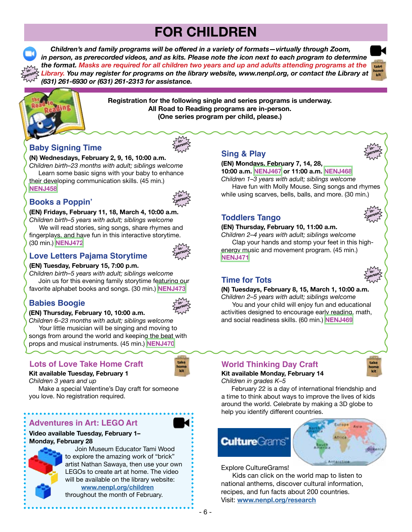# **FOR CHILDREN**

 *Children's and family programs will be offered in a variety of formats—virtually through Zoom, in person, as prerecorded videos, and as kits. Please note the icon next to each program to determine the format. Masks are required for all children two years and up and adults attending programs at the Library. You may register for programs on the library website, www.nenpl.org, or contact the Library at (631) 261-6930 or (631) 261-2313 for assistance.* **person**



**inperson**

**inperson**

**inperson**



**in-**

**Registration for the following single and series programs is underway. All Road to Reading programs are in-person. (One series program per child, please.)**

# **Baby Signing Time**

# **(N) Wednesdays, February 2, 9, 16, 10:00 a.m.**

*Children birth–23 months with adult; siblings welcome* Learn some basic signs with your baby to enhance their developing communication skills. (45 min.) **[NENJ458](https://www.nenpl.org/events/baby-signing-time-person-1)**

# **Books a Poppin'**



**inperson**

# **(EN) Fridays, February 11, 18, March 4, 10:00 a.m.**

*Children birth–5 years with adult; siblings welcome* We will read stories, sing songs, share rhymes and fingerplays, and have fun in this interactive storytime. (30 min.) **[NENJ472](https://www.nenpl.org/events/books-poppin-person-7)**



# **Love Letters Pajama Storytime**

#### **(EN) Tuesday, February 15, 7:00 p.m.**

*Children birth–5 years with adult; siblings welcome* Join us for this evening family storytime featuring our favorite alphabet books and songs. (30 min.) **[NENJ473](https://www.nenpl.org/events/love-letters-pajama-storytime)**

# **Babies Boogie**



**take home kit**

# **(EN) Thursday, February 10, 10:00 a.m.**

*Children 6–23 months with adult; siblings welcome* Your little musician will be singing and moving to songs from around the world and keeping the beat with props and musical instruments. (45 min.) **[NENJ470](https://www.nenpl.org/events/babies-boogie-person)**

# **Lots of Love Take Home Craft**

## **Kit available Tuesday, February 1**

*Children 3 years and up*

 Make a special Valentine's Day craft for someone you love. No registration required.

# **Adventures in Art: LEGO Art**

#### **Video available Tuesday, February 1– Monday, February 28**



 Join Museum Educator Tami Wood to explore the amazing work of "brick" artist Nathan Sawaya, then use your own LEGOs to create art at home. The video will be available on the library website:  **[www.nenpl.org/children](http://www.nenpl.org/children)**

throughout the month of February.

# **Sing & Play**

#### **(EN) Mondays, February 7, 14, 28, 10:00 a.m. [NENJ467](https://www.nenpl.org/events/sing-play-person-13) or 11:00 a.m. [NENJ468](https://www.nenpl.org/events/sing-play-person-16)**

*Children 1–3 years with adult; siblings welcome* Have fun with Molly Mouse. Sing songs and rhymes while using scarves, bells, balls, and more. (30 min.)

**Toddlers Tango**

#### **(EN) Thursday, February 10, 11:00 a.m.**

*Children 2–4 years with adult; siblings welcome* Clap your hands and stomp your feet in this highenergy music and movement program. (45 min.) **[NENJ471](https://www.nenpl.org/events/toddlers-tango-person)**

# **Time for Tots**

#### **(N) Tuesdays, February 8, 15, March 1, 10:00 a.m.**

*Children 2–5 years with adult; siblings welcome* You and your child will enjoy fun and educational activities designed to encourage early reading, math, and social readiness skills. (60 min.) **[NENJ469](https://www.nenpl.org/events/time-tots-person-7)**



#### **World Thinking Day Craft Kit available Monday, February 14** *Children in grades K–5*

 February 22 is a day of international friendship and a time to think about ways to improve the lives of kids around the world. Celebrate by making a 3D globe to help you identify different countries.

# **Culture**Grams



Explore CultureGrams!

 Kids can click on the world map to listen to national anthems, discover cultural information, recipes, and fun facts about 200 countries. Visit: **[www.nenpl.org/research](http://www.nenpl.org/research)**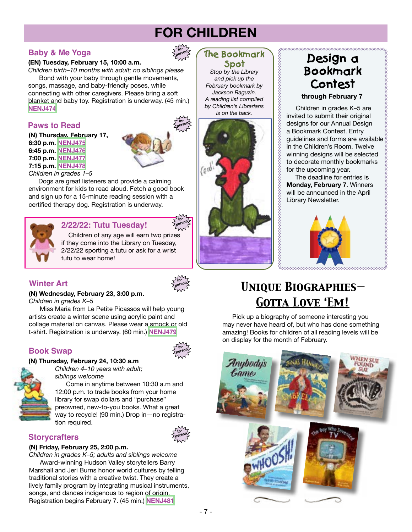# **FOR CHILDREN**

**inperson**

**inperson**

# **Baby & Me Yoga**

#### **(EN) Tuesday, February 15, 10:00 a.m.**

*Children birth–10 months with adult; no siblings please* Bond with your baby through gentle movements, songs, massage, and baby-friendly poses, while connecting with other caregivers. Please bring a soft blanket and baby toy. Registration is underway. (45 min.) **[NENJ474](https://www.nenpl.org/events/baby-and-me-yoga-person)**

# **Paws to Read**

**(N) Thursday, February 17, 6:30 p.m. [NENJ475](https://www.nenpl.org/events/paws-read-person-7) 6:45 p.m. [NENJ476](https://www.nenpl.org/events/paws-read-person-8) 7:00 p.m. [NENJ477](https://www.nenpl.org/events/paws-read-person-9) 7:15 p.m. [NENJ478](https://www.nenpl.org/events/paws-read-person-10)**

*Children in grades 1–5* Dogs are great listeners and provide a calming environment for kids to read aloud. Fetch a good book and sign up for a 15-minute reading session with a



# **2/22/22: Tutu Tuesday!**

certified therapy dog. Registration is underway.

 Children of any age will earn two prizes if they come into the Library on Tuesday, 2/22/22 sporting a tutu or ask for a wrist tutu to wear home!

# **Winter Art**



**inperson**

**inperson**

**inperson**

#### **(N) Wednesday, February 23, 3:00 p.m.**

*Children in grades K–5*

 Miss Maria from Le Petite Picassos will help young artists create a winter scene using acrylic paint and collage material on canvas. Please wear a smock or old t-shirt. Registration is underway. (60 min.) **[NENJ479](https://www.nenpl.org/events/winter-art-person)**

# **Book Swap**

#### **(N) Thursday, February 24, 10:30 a.m**



*Children 4–10 years with adult; siblings welcome*

 Come in anytime between 10:30 a.m and 12:00 p.m. to trade books from your home library for swap dollars and "purchase" preowned, new-to-you books. What a great way to recycle! (90 min.) Drop in—no registration required.

# **Storycrafters**

#### **(N) Friday, February 25, 2:00 p.m.**

*Children in grades K–5; adults and siblings welcome* Award-winning Hudson Valley storytellers Barry Marshall and Jeri Burns honor world cultures by telling traditional stories with a creative twist. They create a lively family program by integrating musical instruments, songs, and dances indigenous to region of origin. Registration begins February 7. (45 min.) **[NENJ481](https://www.nenpl.org/events/storycrafters-person)**

# **The Bookmark Spot**

*Stop by the Library and pick up the February bookmark by Jackson Raguzin. A reading list compiled by Children's Librarians is on the back.*



# **Design a Bookmark Contest through February 7**

 Children in grades K–5 are invited to submit their original designs for our Annual Design a Bookmark Contest. Entry guidelines and forms are available in the Children's Room. Twelve winning designs will be selected to decorate monthly bookmarks for the upcoming year.

 The deadline for entries is **Monday, February 7**. Winners will be announced in the April Library Newsletter.



# *Unique Biographies— Gotta Love 'Em!*

 Pick up a biography of someone interesting you may never have heard of, but who has done something amazing! Books for children of all reading levels will be on display for the month of February.